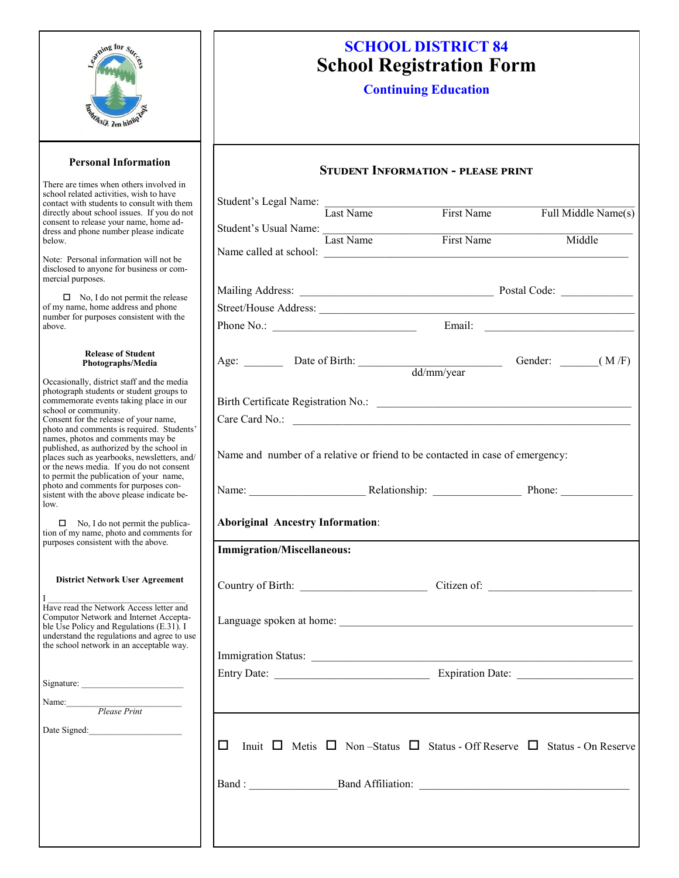| exining for S.<br><b>Emilisiz Zen hinibar</b>                                                                                                                                                                                                                                                                                                                                                                                                                                                                                                                                                                                                                                                     | <b>SCHOOL DISTRICT 84</b><br><b>School Registration Form</b><br><b>Continuing Education</b>      |                                                                                                                                                                                 |            |                               |
|---------------------------------------------------------------------------------------------------------------------------------------------------------------------------------------------------------------------------------------------------------------------------------------------------------------------------------------------------------------------------------------------------------------------------------------------------------------------------------------------------------------------------------------------------------------------------------------------------------------------------------------------------------------------------------------------------|--------------------------------------------------------------------------------------------------|---------------------------------------------------------------------------------------------------------------------------------------------------------------------------------|------------|-------------------------------|
| <b>Personal Information</b>                                                                                                                                                                                                                                                                                                                                                                                                                                                                                                                                                                                                                                                                       | <b>STUDENT INFORMATION - PLEASE PRINT</b>                                                        |                                                                                                                                                                                 |            |                               |
| There are times when others involved in<br>school related activities, wish to have<br>contact with students to consult with them<br>directly about school issues. If you do not<br>consent to release your name, home ad-<br>dress and phone number please indicate<br>below.<br>Note: Personal information will not be                                                                                                                                                                                                                                                                                                                                                                           |                                                                                                  | Student's Legal Name:<br>Last Name<br>First Name<br>First Name<br>Student's Usual Name: Last Name                                                                               | First Name | Full Middle Name(s)<br>Middle |
| disclosed to anyone for business or com-<br>mercial purposes.                                                                                                                                                                                                                                                                                                                                                                                                                                                                                                                                                                                                                                     |                                                                                                  |                                                                                                                                                                                 |            |                               |
| $\Box$ No, I do not permit the release<br>of my name, home address and phone<br>number for purposes consistent with the<br>above.                                                                                                                                                                                                                                                                                                                                                                                                                                                                                                                                                                 |                                                                                                  |                                                                                                                                                                                 |            |                               |
| <b>Release of Student</b><br>Photographs/Media                                                                                                                                                                                                                                                                                                                                                                                                                                                                                                                                                                                                                                                    |                                                                                                  | Age: ________ Date of Birth: __________ dd/mm/year Gender: ______(M/F)                                                                                                          |            |                               |
| Occasionally, district staff and the media<br>photograph students or student groups to<br>commemorate events taking place in our<br>school or community.<br>Consent for the release of your name,<br>photo and comments is required. Students'<br>names, photos and comments may be<br>published, as authorized by the school in<br>places such as yearbooks, newsletters, and/<br>or the news media. If you do not consent<br>to permit the publication of your name,<br>photo and comments for purposes con-<br>sistent with the above please indicate be-<br>low.<br>$\Box$ No, I do not permit the publica-<br>tion of my name, photo and comments for<br>purposes consistent with the above. |                                                                                                  | Care Card No.:<br>Name and number of a relative or friend to be contacted in case of emergency:<br><b>Aboriginal Ancestry Information:</b><br><b>Immigration/Miscellaneous:</b> |            | Phone: $\qquad \qquad$        |
| <b>District Network User Agreement</b>                                                                                                                                                                                                                                                                                                                                                                                                                                                                                                                                                                                                                                                            |                                                                                                  |                                                                                                                                                                                 |            |                               |
| I<br>Have read the Network Access letter and<br>Computor Network and Internet Accepta-<br>ble Use Policy and Regulations (E.31). I<br>understand the regulations and agree to use<br>the school network in an acceptable way.                                                                                                                                                                                                                                                                                                                                                                                                                                                                     |                                                                                                  |                                                                                                                                                                                 |            |                               |
| Name: Please Print                                                                                                                                                                                                                                                                                                                                                                                                                                                                                                                                                                                                                                                                                | Immigration Status:                                                                              |                                                                                                                                                                                 |            |                               |
|                                                                                                                                                                                                                                                                                                                                                                                                                                                                                                                                                                                                                                                                                                   | □<br>Inuit $\Box$ Metis $\Box$ Non-Status $\Box$ Status - Off Reserve $\Box$ Status - On Reserve |                                                                                                                                                                                 |            |                               |
|                                                                                                                                                                                                                                                                                                                                                                                                                                                                                                                                                                                                                                                                                                   |                                                                                                  |                                                                                                                                                                                 |            |                               |